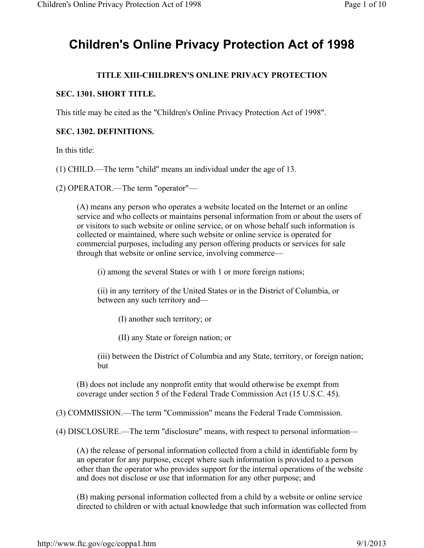# **Children's Online Privacy Protection Act of 1998**

# **TITLE XIII-CHILDREN'S ONLINE PRIVACY PROTECTION**

# **SEC. 1301. SHORT TITLE.**

This title may be cited as the "Children's Online Privacy Protection Act of 1998".

# **SEC. 1302. DEFINITIONS.**

In this title:

(1) CHILD.—The term "child" means an individual under the age of 13.

(2) OPERATOR.—The term "operator"—

(A) means any person who operates a website located on the Internet or an online service and who collects or maintains personal information from or about the users of or visitors to such website or online service, or on whose behalf such information is collected or maintained, where such website or online service is operated for commercial purposes, including any person offering products or services for sale through that website or online service, involving commerce—

(i) among the several States or with 1 or more foreign nations;

(ii) in any territory of the United States or in the District of Columbia, or between any such territory and—

(I) another such territory; or

(II) any State or foreign nation; or

(iii) between the District of Columbia and any State, territory, or foreign nation; but

(B) does not include any nonprofit entity that would otherwise be exempt from coverage under section 5 of the Federal Trade Commission Act (15 U.S.C. 45).

(3) COMMISSION.—The term "Commission" means the Federal Trade Commission.

(4) DISCLOSURE.—The term "disclosure" means, with respect to personal information—

(A) the release of personal information collected from a child in identifiable form by an operator for any purpose, except where such information is provided to a person other than the operator who provides support for the internal operations of the website and does not disclose or use that information for any other purpose; and

(B) making personal information collected from a child by a website or online service directed to children or with actual knowledge that such information was collected from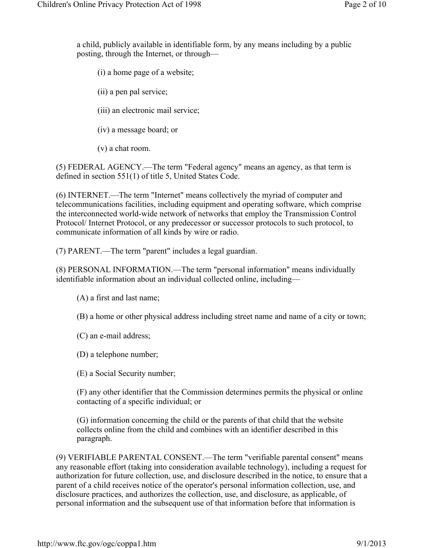a child, publicly available in identifiable form, by any means including by a public posting, through the Internet, or through—

(i) a home page of a website;

(ii) a pen pal service;

(iii) an electronic mail service;

(iv) a message board; or

(v) a chat room.

(5) FEDERAL AGENCY.—The term "Federal agency" means an agency, as that term is defined in section 551(1) of title 5, United States Code.

(6) INTERNET.—The term "Internet" means collectively the myriad of computer and telecommunications facilities, including equipment and operating software, which comprise the interconnected world-wide network of networks that employ the Transmission Control Protocol/ Internet Protocol, or any predecessor or successor protocols to such protocol, to communicate information of all kinds by wire or radio.

(7) PARENT.—The term "parent" includes a legal guardian.

(8) PERSONAL INFORMATION.—The term "personal information" means individually identifiable information about an individual collected online, including—

(A) a first and last name;

(B) a home or other physical address including street name and name of a city or town;

(C) an e-mail address;

(D) a telephone number;

(E) a Social Security number;

(F) any other identifier that the Commission determines permits the physical or online contacting of a specific individual; or

(G) information concerning the child or the parents of that child that the website collects online from the child and combines with an identifier described in this paragraph.

(9) VERIFIABLE PARENTAL CONSENT.—The term "verifiable parental consent" means any reasonable effort (taking into consideration available technology), including a request for authorization for future collection, use, and disclosure described in the notice, to ensure that a parent of a child receives notice of the operator's personal information collection, use, and disclosure practices, and authorizes the collection, use, and disclosure, as applicable, of personal information and the subsequent use of that information before that information is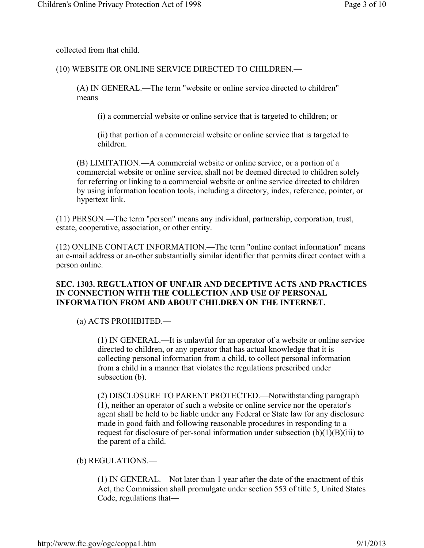collected from that child.

(10) WEBSITE OR ONLINE SERVICE DIRECTED TO CHILDREN.—

(A) IN GENERAL.—The term "website or online service directed to children" means—

(i) a commercial website or online service that is targeted to children; or

(ii) that portion of a commercial website or online service that is targeted to children.

(B) LIMITATION.—A commercial website or online service, or a portion of a commercial website or online service, shall not be deemed directed to children solely for referring or linking to a commercial website or online service directed to children by using information location tools, including a directory, index, reference, pointer, or hypertext link.

(11) PERSON.—The term "person" means any individual, partnership, corporation, trust, estate, cooperative, association, or other entity.

(12) ONLINE CONTACT INFORMATION.—The term "online contact information" means an e-mail address or an-other substantially similar identifier that permits direct contact with a person online.

# **SEC. 1303. REGULATION OF UNFAIR AND DECEPTIVE ACTS AND PRACTICES IN CONNECTION WITH THE COLLECTION AND USE OF PERSONAL INFORMATION FROM AND ABOUT CHILDREN ON THE INTERNET.**

# (a) ACTS PROHIBITED.—

(1) IN GENERAL.—It is unlawful for an operator of a website or online service directed to children, or any operator that has actual knowledge that it is collecting personal information from a child, to collect personal information from a child in a manner that violates the regulations prescribed under subsection (b).

(2) DISCLOSURE TO PARENT PROTECTED.—Notwithstanding paragraph (1), neither an operator of such a website or online service nor the operator's agent shall be held to be liable under any Federal or State law for any disclosure made in good faith and following reasonable procedures in responding to a request for disclosure of per-sonal information under subsection  $(b)(1)(B)(iii)$  to the parent of a child.

# (b) REGULATIONS.—

(1) IN GENERAL.—Not later than 1 year after the date of the enactment of this Act, the Commission shall promulgate under section 553 of title 5, United States Code, regulations that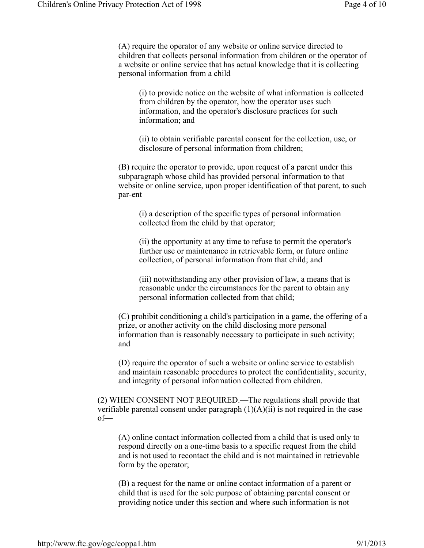(A) require the operator of any website or online service directed to children that collects personal information from children or the operator of a website or online service that has actual knowledge that it is collecting personal information from a child—

(i) to provide notice on the website of what information is collected from children by the operator, how the operator uses such information, and the operator's disclosure practices for such information; and

(ii) to obtain verifiable parental consent for the collection, use, or disclosure of personal information from children;

(B) require the operator to provide, upon request of a parent under this subparagraph whose child has provided personal information to that website or online service, upon proper identification of that parent, to such par-ent—

(i) a description of the specific types of personal information collected from the child by that operator;

(ii) the opportunity at any time to refuse to permit the operator's further use or maintenance in retrievable form, or future online collection, of personal information from that child; and

(iii) notwithstanding any other provision of law, a means that is reasonable under the circumstances for the parent to obtain any personal information collected from that child;

(C) prohibit conditioning a child's participation in a game, the offering of a prize, or another activity on the child disclosing more personal information than is reasonably necessary to participate in such activity; and

(D) require the operator of such a website or online service to establish and maintain reasonable procedures to protect the confidentiality, security, and integrity of personal information collected from children.

(2) WHEN CONSENT NOT REQUIRED.—The regulations shall provide that verifiable parental consent under paragraph  $(1)(A)(ii)$  is not required in the case of—

(A) online contact information collected from a child that is used only to respond directly on a one-time basis to a specific request from the child and is not used to recontact the child and is not maintained in retrievable form by the operator;

(B) a request for the name or online contact information of a parent or child that is used for the sole purpose of obtaining parental consent or providing notice under this section and where such information is not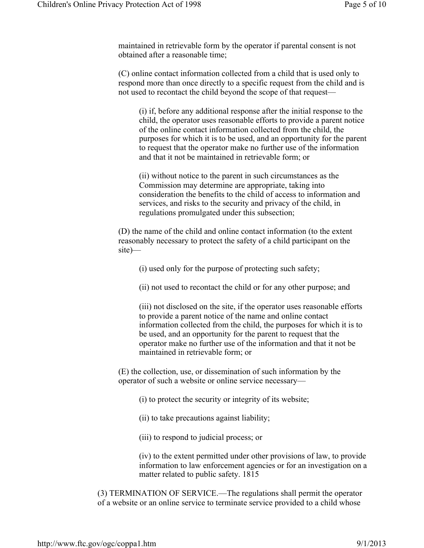maintained in retrievable form by the operator if parental consent is not obtained after a reasonable time;

(C) online contact information collected from a child that is used only to respond more than once directly to a specific request from the child and is not used to recontact the child beyond the scope of that request—

(i) if, before any additional response after the initial response to the child, the operator uses reasonable efforts to provide a parent notice of the online contact information collected from the child, the purposes for which it is to be used, and an opportunity for the parent to request that the operator make no further use of the information and that it not be maintained in retrievable form; or

(ii) without notice to the parent in such circumstances as the Commission may determine are appropriate, taking into consideration the benefits to the child of access to information and services, and risks to the security and privacy of the child, in regulations promulgated under this subsection;

(D) the name of the child and online contact information (to the extent reasonably necessary to protect the safety of a child participant on the site)—

(i) used only for the purpose of protecting such safety;

(ii) not used to recontact the child or for any other purpose; and

(iii) not disclosed on the site, if the operator uses reasonable efforts to provide a parent notice of the name and online contact information collected from the child, the purposes for which it is to be used, and an opportunity for the parent to request that the operator make no further use of the information and that it not be maintained in retrievable form; or

(E) the collection, use, or dissemination of such information by the operator of such a website or online service necessary—

(i) to protect the security or integrity of its website;

(ii) to take precautions against liability;

(iii) to respond to judicial process; or

(iv) to the extent permitted under other provisions of law, to provide information to law enforcement agencies or for an investigation on a matter related to public safety. 1815

(3) TERMINATION OF SERVICE.—The regulations shall permit the operator of a website or an online service to terminate service provided to a child whose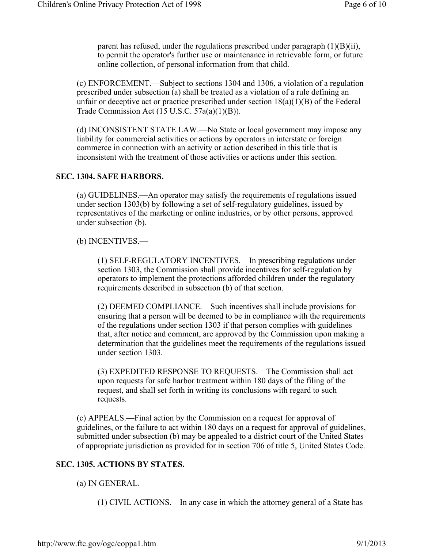parent has refused, under the regulations prescribed under paragraph  $(1)(B)(ii)$ , to permit the operator's further use or maintenance in retrievable form, or future online collection, of personal information from that child.

(c) ENFORCEMENT.—Subject to sections 1304 and 1306, a violation of a regulation prescribed under subsection (a) shall be treated as a violation of a rule defining an unfair or deceptive act or practice prescribed under section  $18(a)(1)(B)$  of the Federal Trade Commission Act (15 U.S.C. 57a(a)(1)(B)).

(d) INCONSISTENT STATE LAW.—No State or local government may impose any liability for commercial activities or actions by operators in interstate or foreign commerce in connection with an activity or action described in this title that is inconsistent with the treatment of those activities or actions under this section.

#### **SEC. 1304. SAFE HARBORS.**

(a) GUIDELINES.—An operator may satisfy the requirements of regulations issued under section 1303(b) by following a set of self-regulatory guidelines, issued by representatives of the marketing or online industries, or by other persons, approved under subsection (b).

#### (b) INCENTIVES.—

(1) SELF-REGULATORY INCENTIVES.—In prescribing regulations under section 1303, the Commission shall provide incentives for self-regulation by operators to implement the protections afforded children under the regulatory requirements described in subsection (b) of that section.

(2) DEEMED COMPLIANCE.—Such incentives shall include provisions for ensuring that a person will be deemed to be in compliance with the requirements of the regulations under section 1303 if that person complies with guidelines that, after notice and comment, are approved by the Commission upon making a determination that the guidelines meet the requirements of the regulations issued under section 1303.

(3) EXPEDITED RESPONSE TO REQUESTS.—The Commission shall act upon requests for safe harbor treatment within 180 days of the filing of the request, and shall set forth in writing its conclusions with regard to such requests.

(c) APPEALS.—Final action by the Commission on a request for approval of guidelines, or the failure to act within 180 days on a request for approval of guidelines, submitted under subsection (b) may be appealed to a district court of the United States of appropriate jurisdiction as provided for in section 706 of title 5, United States Code.

# **SEC. 1305. ACTIONS BY STATES.**

#### (a) IN GENERAL.—

(1) CIVIL ACTIONS.—In any case in which the attorney general of a State has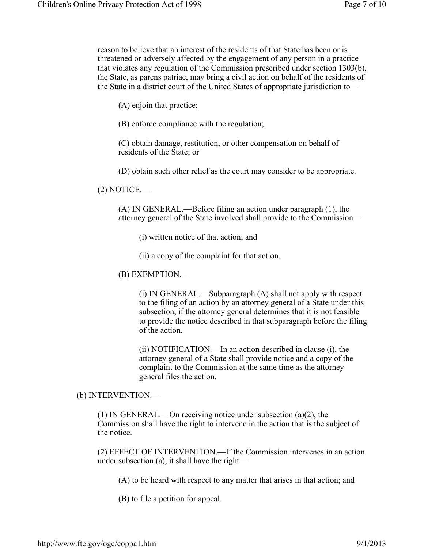reason to believe that an interest of the residents of that State has been or is threatened or adversely affected by the engagement of any person in a practice that violates any regulation of the Commission prescribed under section 1303(b), the State, as parens patriae, may bring a civil action on behalf of the residents of the State in a district court of the United States of appropriate jurisdiction to—

(A) enjoin that practice;

(B) enforce compliance with the regulation;

(C) obtain damage, restitution, or other compensation on behalf of residents of the State; or

(D) obtain such other relief as the court may consider to be appropriate.

#### (2) NOTICE.—

(A) IN GENERAL.—Before filing an action under paragraph (1), the attorney general of the State involved shall provide to the Commission—

(i) written notice of that action; and

(ii) a copy of the complaint for that action.

(B) EXEMPTION.—

(i) IN GENERAL.—Subparagraph (A) shall not apply with respect to the filing of an action by an attorney general of a State under this subsection, if the attorney general determines that it is not feasible to provide the notice described in that subparagraph before the filing of the action.

(ii) NOTIFICATION.—In an action described in clause (i), the attorney general of a State shall provide notice and a copy of the complaint to the Commission at the same time as the attorney general files the action.

#### (b) INTERVENTION.—

(1) IN GENERAL.—On receiving notice under subsection (a)(2), the Commission shall have the right to intervene in the action that is the subject of the notice.

(2) EFFECT OF INTERVENTION.—If the Commission intervenes in an action under subsection (a), it shall have the right—

(A) to be heard with respect to any matter that arises in that action; and

(B) to file a petition for appeal.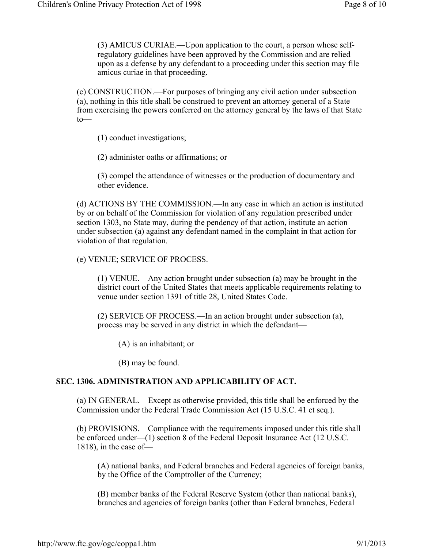(3) AMICUS CURIAE.—Upon application to the court, a person whose selfregulatory guidelines have been approved by the Commission and are relied upon as a defense by any defendant to a proceeding under this section may file amicus curiae in that proceeding.

(c) CONSTRUCTION.—For purposes of bringing any civil action under subsection (a), nothing in this title shall be construed to prevent an attorney general of a State from exercising the powers conferred on the attorney general by the laws of that State  $to$ 

(1) conduct investigations;

(2) administer oaths or affirmations; or

(3) compel the attendance of witnesses or the production of documentary and other evidence.

(d) ACTIONS BY THE COMMISSION.—In any case in which an action is instituted by or on behalf of the Commission for violation of any regulation prescribed under section 1303, no State may, during the pendency of that action, institute an action under subsection (a) against any defendant named in the complaint in that action for violation of that regulation.

(e) VENUE; SERVICE OF PROCESS.—

(1) VENUE.—Any action brought under subsection (a) may be brought in the district court of the United States that meets applicable requirements relating to venue under section 1391 of title 28, United States Code.

(2) SERVICE OF PROCESS.—In an action brought under subsection (a), process may be served in any district in which the defendant—

(A) is an inhabitant; or

(B) may be found.

# **SEC. 1306. ADMINISTRATION AND APPLICABILITY OF ACT.**

(a) IN GENERAL.—Except as otherwise provided, this title shall be enforced by the Commission under the Federal Trade Commission Act (15 U.S.C. 41 et seq.).

(b) PROVISIONS.—Compliance with the requirements imposed under this title shall be enforced under—(1) section 8 of the Federal Deposit Insurance Act (12 U.S.C. 1818), in the case of—

(A) national banks, and Federal branches and Federal agencies of foreign banks, by the Office of the Comptroller of the Currency;

(B) member banks of the Federal Reserve System (other than national banks), branches and agencies of foreign banks (other than Federal branches, Federal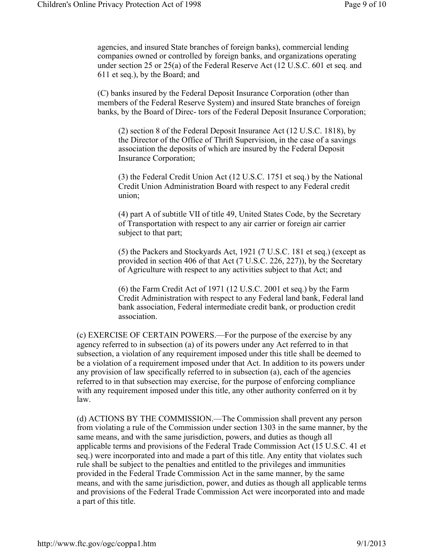agencies, and insured State branches of foreign banks), commercial lending companies owned or controlled by foreign banks, and organizations operating under section 25 or 25(a) of the Federal Reserve Act (12 U.S.C. 601 et seq. and 611 et seq.), by the Board; and

(C) banks insured by the Federal Deposit Insurance Corporation (other than members of the Federal Reserve System) and insured State branches of foreign banks, by the Board of Direc- tors of the Federal Deposit Insurance Corporation;

(2) section 8 of the Federal Deposit Insurance Act (12 U.S.C. 1818), by the Director of the Office of Thrift Supervision, in the case of a savings association the deposits of which are insured by the Federal Deposit Insurance Corporation;

(3) the Federal Credit Union Act (12 U.S.C. 1751 et seq.) by the National Credit Union Administration Board with respect to any Federal credit union;

(4) part A of subtitle VII of title 49, United States Code, by the Secretary of Transportation with respect to any air carrier or foreign air carrier subject to that part;

(5) the Packers and Stockyards Act, 1921 (7 U.S.C. 181 et seq.) (except as provided in section 406 of that Act (7 U.S.C. 226, 227)), by the Secretary of Agriculture with respect to any activities subject to that Act; and

(6) the Farm Credit Act of 1971 (12 U.S.C. 2001 et seq.) by the Farm Credit Administration with respect to any Federal land bank, Federal land bank association, Federal intermediate credit bank, or production credit association.

(c) EXERCISE OF CERTAIN POWERS.—For the purpose of the exercise by any agency referred to in subsection (a) of its powers under any Act referred to in that subsection, a violation of any requirement imposed under this title shall be deemed to be a violation of a requirement imposed under that Act. In addition to its powers under any provision of law specifically referred to in subsection (a), each of the agencies referred to in that subsection may exercise, for the purpose of enforcing compliance with any requirement imposed under this title, any other authority conferred on it by law.

(d) ACTIONS BY THE COMMISSION.—The Commission shall prevent any person from violating a rule of the Commission under section 1303 in the same manner, by the same means, and with the same jurisdiction, powers, and duties as though all applicable terms and provisions of the Federal Trade Commission Act (15 U.S.C. 41 et seq.) were incorporated into and made a part of this title. Any entity that violates such rule shall be subject to the penalties and entitled to the privileges and immunities provided in the Federal Trade Commission Act in the same manner, by the same means, and with the same jurisdiction, power, and duties as though all applicable terms and provisions of the Federal Trade Commission Act were incorporated into and made a part of this title.